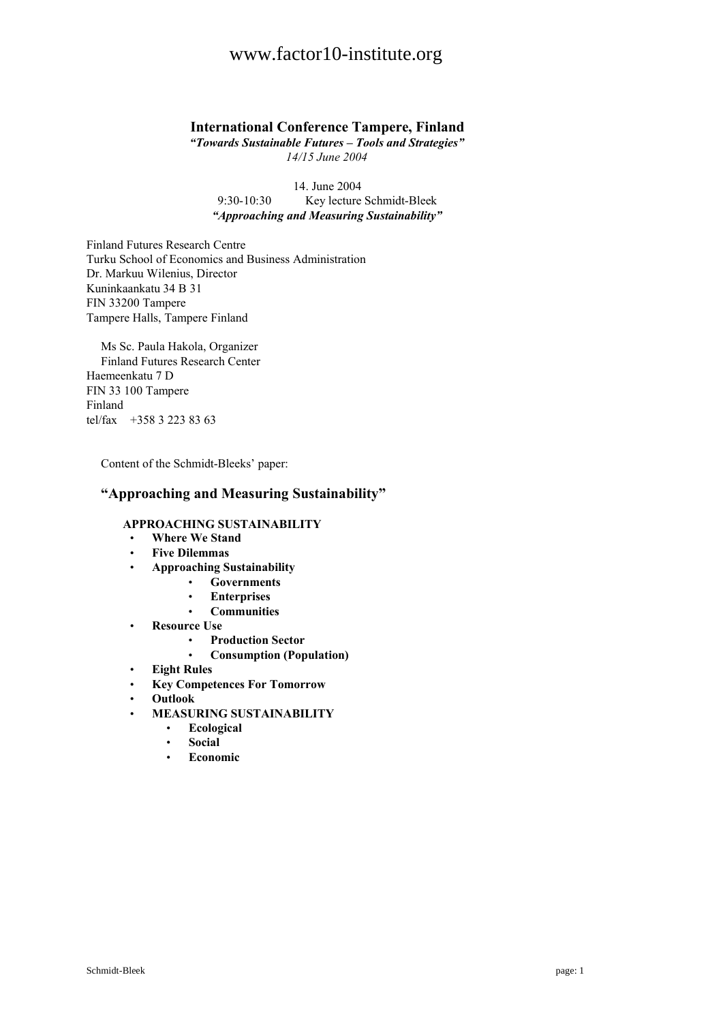# **International Conference Tampere, Finland**

*"Towards Sustainable Futures – Tools and Strategies" 14/15 June 2004*

14. June 2004 9:30-10:30 Key lecture Schmidt-Bleek *"Approaching and Measuring Sustainability"*

Finland Futures Research Centre Turku School of Economics and Business Administration Dr. Markuu Wilenius, Director Kuninkaankatu 34 B 31 FIN 33200 Tampere Tampere Halls, Tampere Finland

Ms Sc. Paula Hakola, Organizer Finland Futures Research Center Haemeenkatu 7 D FIN 33 100 Tampere Finland tel/fax +358 3 223 83 63

Content of the Schmidt-Bleeks' paper:

# **"Approaching and Measuring Sustainability"**

### **APPROACHING SUSTAINABILITY**

- **Where We Stand**
- **Five Dilemmas**
- **Approaching Sustainability**
	- **Governments**
	- **Enterprises**
	- **Communities**
- **Resource Use**
	- **Production Sector**
	- **Consumption (Population)**
- **Eight Rules**
- **Key Competences For Tomorrow**
- **Outlook**
- **MEASURING SUSTAINABILITY**
	- **Ecological**
	- **Social**
	- **Economic**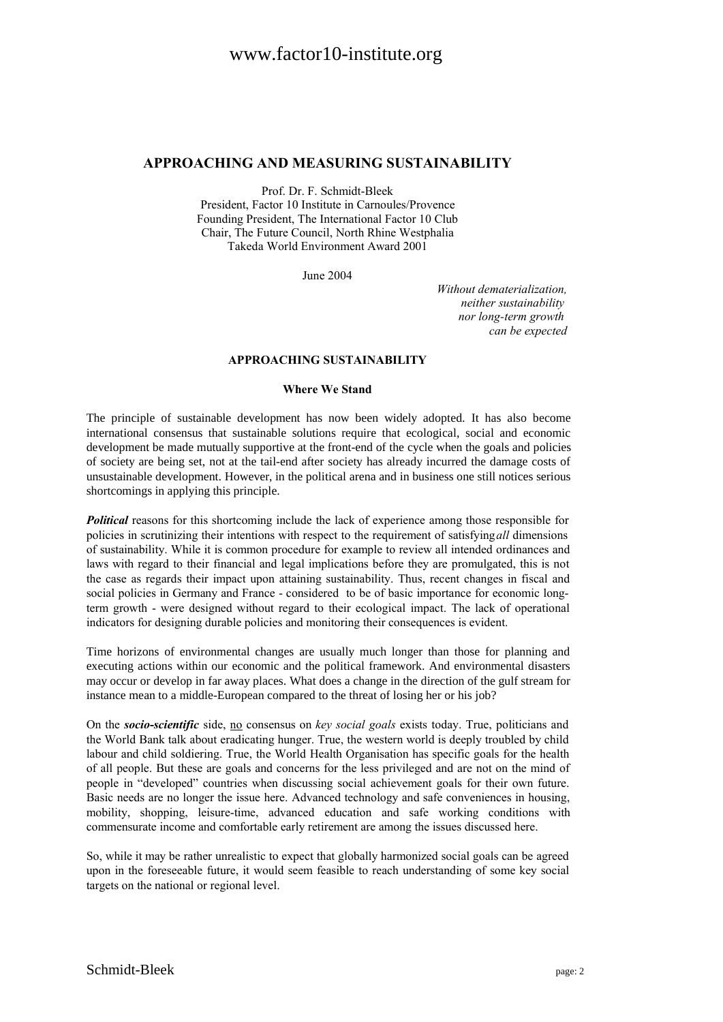### **APPROACHING AND MEASURING SUSTAINABILITY**

Prof. Dr. F. Schmidt-Bleek President, Factor 10 Institute in Carnoules/Provence Founding President, The International Factor 10 Club Chair, The Future Council, North Rhine Westphalia Takeda World Environment Award 2001

June 2004

*Without dematerialization, neither sustainability nor long-term growth can be expected*

### **APPROACHING SUSTAINABILITY**

### **Where We Stand**

The principle of sustainable development has now been widely adopted. It has also become international consensus that sustainable solutions require that ecological, social and economic development be made mutually supportive at the front-end of the cycle when the goals and policies of society are being set, not at the tail-end after society has already incurred the damage costs of unsustainable development. However, in the political arena and in business one still notices serious shortcomings in applying this principle.

*Political* reasons for this shortcoming include the lack of experience among those responsible for policies in scrutinizing their intentions with respect to the requirement of satisfying*all* dimensions of sustainability. While it is common procedure for example to review all intended ordinances and laws with regard to their financial and legal implications before they are promulgated, this is not the case as regards their impact upon attaining sustainability. Thus, recent changes in fiscal and social policies in Germany and France - considered to be of basic importance for economic longterm growth - were designed without regard to their ecological impact. The lack of operational indicators for designing durable policies and monitoring their consequences is evident.

Time horizons of environmental changes are usually much longer than those for planning and executing actions within our economic and the political framework. And environmental disasters may occur or develop in far away places. What does a change in the direction of the gulf stream for instance mean to a middle-European compared to the threat of losing her or his job?

On the *socio***-***scientific* side, no consensus on *key social goals* exists today. True, politicians and the World Bank talk about eradicating hunger. True, the western world is deeply troubled by child labour and child soldiering. True, the World Health Organisation has specific goals for the health of all people. But these are goals and concerns for the less privileged and are not on the mind of people in "developed" countries when discussing social achievement goals for their own future. Basic needs are no longer the issue here. Advanced technology and safe conveniences in housing, mobility, shopping, leisure-time, advanced education and safe working conditions with commensurate income and comfortable early retirement are among the issues discussed here.

So, while it may be rather unrealistic to expect that globally harmonized social goals can be agreed upon in the foreseeable future, it would seem feasible to reach understanding of some key social targets on the national or regional level.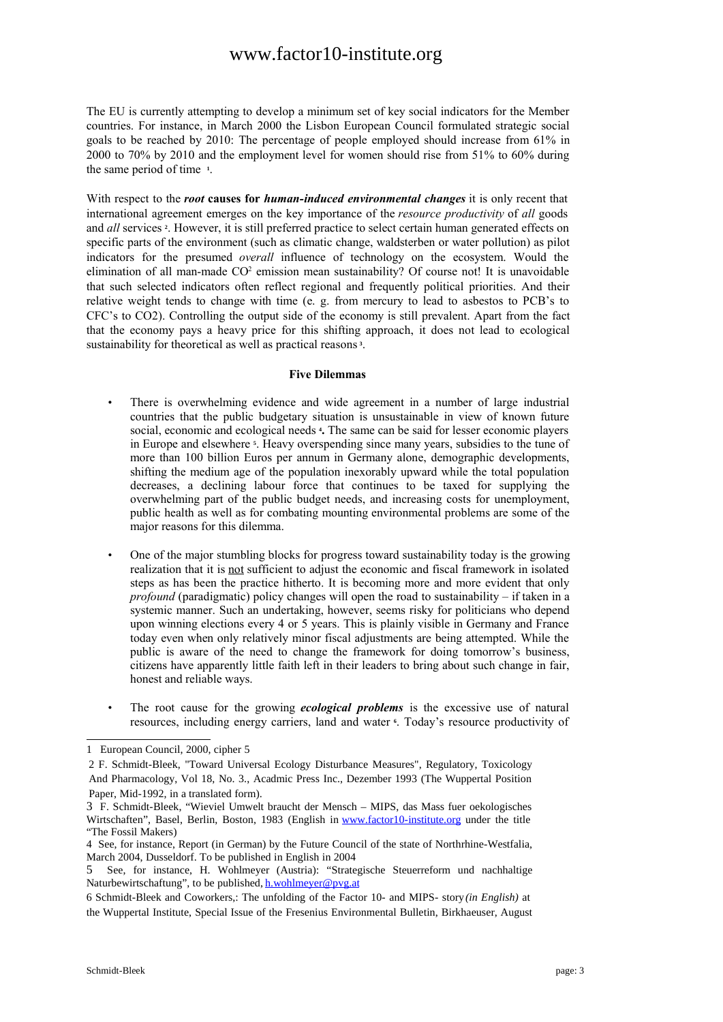The EU is currently attempting to develop a minimum set of key social indicators for the Member countries. For instance, in March 2000 the Lisbon European Council formulated strategic social goals to be reached by 2010: The percentage of people employed should increase from 61% in 2000 to 70% by 2010 and the employment level for women should rise from 51% to 60% during the same period of time **<sup>1</sup>** .

With respect to the *root* **causes for** *human-induced environmental changes* it is only recent that international agreement emerges on the key importance of the *resource productivity* of *all* goods and *all* services <sup>2</sup>. However, it is still preferred practice to select certain human generated effects on specific parts of the environment (such as climatic change, waldsterben or water pollution) as pilot indicators for the presumed *overall* influence of technology on the ecosystem. Would the elimination of all man-made  $CO<sup>2</sup>$  emission mean sustainability? Of course not! It is unavoidable that such selected indicators often reflect regional and frequently political priorities. And their relative weight tends to change with time (e. g. from mercury to lead to asbestos to PCB's to CFC's to CO2). Controlling the output side of the economy is still prevalent. Apart from the fact that the economy pays a heavy price for this shifting approach, it does not lead to ecological sustainability for theoretical as well as practical reasons **<sup>3</sup>** .

#### **Five Dilemmas**

- There is overwhelming evidence and wide agreement in a number of large industrial countries that the public budgetary situation is unsustainable in view of known future social, economic and ecological needs **<sup>4</sup> .** The same can be said for lesser economic players in Europe and elsewhere **<sup>5</sup>** . Heavy overspending since many years, subsidies to the tune of more than 100 billion Euros per annum in Germany alone, demographic developments, shifting the medium age of the population inexorably upward while the total population decreases, a declining labour force that continues to be taxed for supplying the overwhelming part of the public budget needs, and increasing costs for unemployment, public health as well as for combating mounting environmental problems are some of the major reasons for this dilemma.
- One of the major stumbling blocks for progress toward sustainability today is the growing realization that it is not sufficient to adjust the economic and fiscal framework in isolated steps as has been the practice hitherto. It is becoming more and more evident that only *profound* (paradigmatic) policy changes will open the road to sustainability – if taken in a systemic manner. Such an undertaking, however, seems risky for politicians who depend upon winning elections every 4 or 5 years. This is plainly visible in Germany and France today even when only relatively minor fiscal adjustments are being attempted. While the public is aware of the need to change the framework for doing tomorrow's business, citizens have apparently little faith left in their leaders to bring about such change in fair, honest and reliable ways.
- The root cause for the growing *ecological problems* is the excessive use of natural resources, including energy carriers, land and water **6** . Today's resource productivity of

<sup>1</sup> European Council, 2000, cipher 5

<sup>2</sup> F. Schmidt-Bleek, "Toward Universal Ecology Disturbance Measures", Regulatory, Toxicology And Pharmacology, Vol 18, No. 3., Acadmic Press Inc., Dezember 1993 (The Wuppertal Position Paper, Mid-1992, in a translated form).

<sup>3</sup> F. Schmidt-Bleek, "Wieviel Umwelt braucht der Mensch – MIPS, das Mass fuer oekologisches Wirtschaften", Basel, Berlin, Boston, 1983 (English in www.factor10-institute.org under the title "The Fossil Makers)

<sup>4</sup> See, for instance, Report (in German) by the Future Council of the state of Northrhine-Westfalia, March 2004, Dusseldorf. To be published in English in 2004

<sup>5</sup> See, for instance, H. Wohlmeyer (Austria): "Strategische Steuerreform und nachhaltige Naturbewirtschaftung", to be published, h.wohlmeyer@pvg.at

<sup>6</sup> Schmidt-Bleek and Coworkers,: The unfolding of the Factor 10- and MIPS- story*(in English)* at the Wuppertal Institute, Special Issue of the Fresenius Environmental Bulletin, Birkhaeuser, August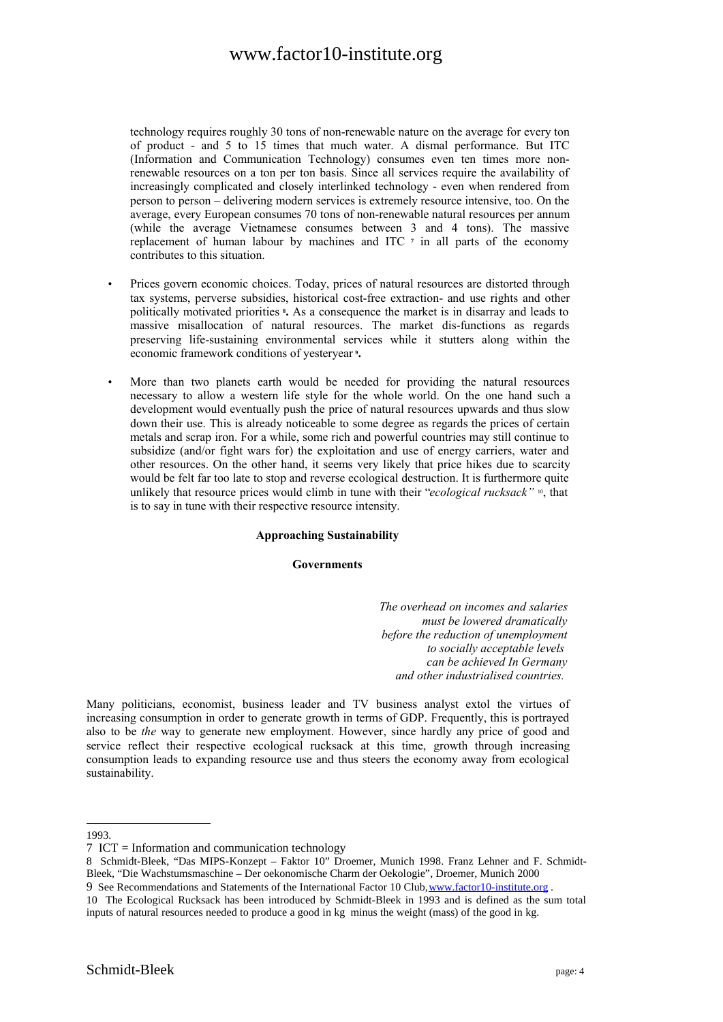technology requires roughly 30 tons of non-renewable nature on the average for every ton of product - and 5 to 15 times that much water. A dismal performance. But ITC (Information and Communication Technology) consumes even ten times more nonrenewable resources on a ton per ton basis. Since all services require the availability of increasingly complicated and closely interlinked technology - even when rendered from person to person – delivering modern services is extremely resource intensive, too. On the average, every European consumes 70 tons of non-renewable natural resources per annum (while the average Vietnamese consumes between 3 and 4 tons). The massive replacement of human labour by machines and ITC **<sup>7</sup>** in all parts of the economy contributes to this situation.

- Prices govern economic choices. Today, prices of natural resources are distorted through tax systems, perverse subsidies, historical cost-free extraction- and use rights and other politically motivated priorities **8 .** As a consequence the market is in disarray and leads to massive misallocation of natural resources. The market dis-functions as regards preserving life-sustaining environmental services while it stutters along within the economic framework conditions of yesteryear **<sup>9</sup> .**
- More than two planets earth would be needed for providing the natural resources necessary to allow a western life style for the whole world. On the one hand such a development would eventually push the price of natural resources upwards and thus slow down their use. This is already noticeable to some degree as regards the prices of certain metals and scrap iron. For a while, some rich and powerful countries may still continue to subsidize (and/or fight wars for) the exploitation and use of energy carriers, water and other resources. On the other hand, it seems very likely that price hikes due to scarcity would be felt far too late to stop and reverse ecological destruction. It is furthermore quite unlikely that resource prices would climb in tune with their "*ecological rucksack"* <sup>10</sup> , that is to say in tune with their respective resource intensity.

### **Approaching Sustainability**

#### **Governments**

*The overhead on incomes and salaries must be lowered dramatically before the reduction of unemployment to socially acceptable levels can be achieved In Germany and other industrialised countries.* 

Many politicians, economist, business leader and TV business analyst extol the virtues of increasing consumption in order to generate growth in terms of GDP. Frequently, this is portrayed also to be *the* way to generate new employment. However, since hardly any price of good and service reflect their respective ecological rucksack at this time, growth through increasing consumption leads to expanding resource use and thus steers the economy away from ecological sustainability.

1993.

<sup>7</sup> ICT = Information and communication technology

<sup>8</sup> Schmidt-Bleek, "Das MIPS-Konzept – Faktor 10" Droemer, Munich 1998. Franz Lehner and F. Schmidt-Bleek, "Die Wachstumsmaschine – Der oekonomische Charm der Oekologie", Droemer, Munich 2000

<sup>9</sup> See Recommendations and Statements of the International Factor 10 Club, www.factor10-institute.org .

<sup>10</sup> The Ecological Rucksack has been introduced by Schmidt-Bleek in 1993 and is defined as the sum total inputs of natural resources needed to produce a good in kg minus the weight (mass) of the good in kg.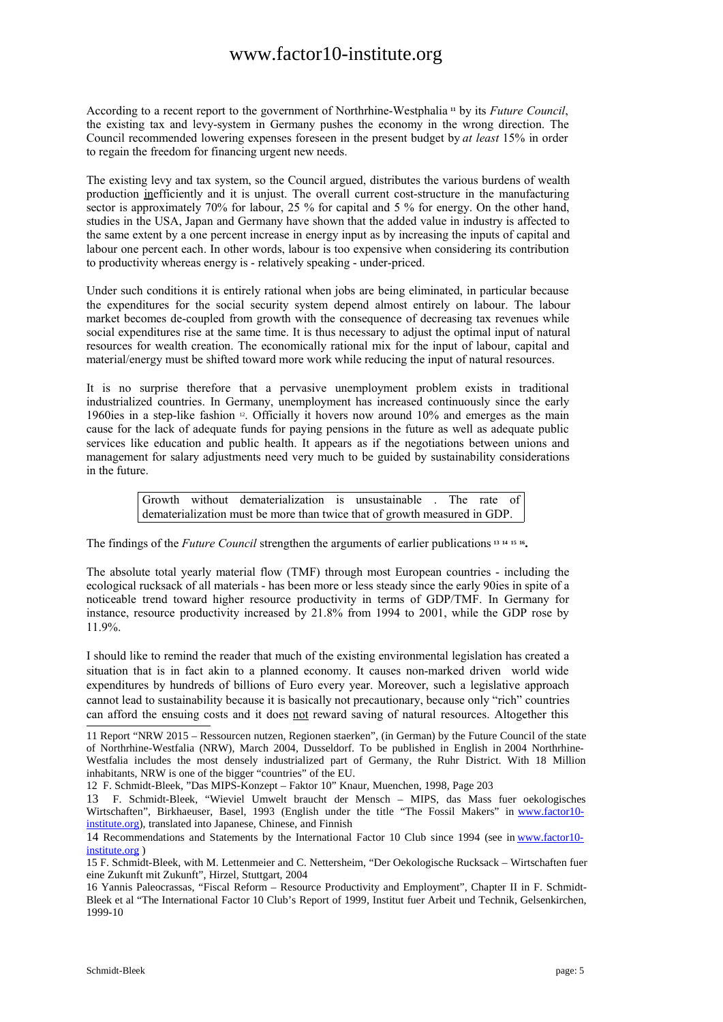According to a recent report to the government of Northrhine-Westphalia **<sup>11</sup>** by its *Future Council*, the existing tax and levy-system in Germany pushes the economy in the wrong direction. The Council recommended lowering expenses foreseen in the present budget by *at least* 15% in order to regain the freedom for financing urgent new needs.

The existing levy and tax system, so the Council argued, distributes the various burdens of wealth production inefficiently and it is unjust. The overall current cost-structure in the manufacturing sector is approximately 70% for labour, 25 % for capital and 5 % for energy. On the other hand, studies in the USA, Japan and Germany have shown that the added value in industry is affected to the same extent by a one percent increase in energy input as by increasing the inputs of capital and labour one percent each. In other words, labour is too expensive when considering its contribution to productivity whereas energy is - relatively speaking - under-priced.

Under such conditions it is entirely rational when jobs are being eliminated, in particular because the expenditures for the social security system depend almost entirely on labour. The labour market becomes de-coupled from growth with the consequence of decreasing tax revenues while social expenditures rise at the same time. It is thus necessary to adjust the optimal input of natural resources for wealth creation. The economically rational mix for the input of labour, capital and material/energy must be shifted toward more work while reducing the input of natural resources.

It is no surprise therefore that a pervasive unemployment problem exists in traditional industrialized countries. In Germany, unemployment has increased continuously since the early 1960ies in a step-like fashion <sup>12</sup> . Officially it hovers now around 10% and emerges as the main cause for the lack of adequate funds for paying pensions in the future as well as adequate public services like education and public health. It appears as if the negotiations between unions and management for salary adjustments need very much to be guided by sustainability considerations in the future.

> Growth without dematerialization is unsustainable . The rate of dematerialization must be more than twice that of growth measured in GDP.

The findings of the *Future Council* strengthen the arguments of earlier publications **<sup>13</sup> <sup>14</sup> <sup>15</sup> <sup>16</sup> .**

The absolute total yearly material flow (TMF) through most European countries - including the ecological rucksack of all materials - has been more or less steady since the early 90ies in spite of a noticeable trend toward higher resource productivity in terms of GDP/TMF. In Germany for instance, resource productivity increased by 21.8% from 1994 to 2001, while the GDP rose by 11.9%.

I should like to remind the reader that much of the existing environmental legislation has created a situation that is in fact akin to a planned economy. It causes non-marked driven world wide expenditures by hundreds of billions of Euro every year. Moreover, such a legislative approach cannot lead to sustainability because it is basically not precautionary, because only "rich" countries can afford the ensuing costs and it does not reward saving of natural resources. Altogether this

<sup>11</sup> Report "NRW 2015 – Ressourcen nutzen, Regionen staerken", (in German) by the Future Council of the state of Northrhine-Westfalia (NRW), March 2004, Dusseldorf. To be published in English in 2004 Northrhine-Westfalia includes the most densely industrialized part of Germany, the Ruhr District. With 18 Million inhabitants, NRW is one of the bigger "countries" of the EU.

<sup>12</sup> F. Schmidt-Bleek, "Das MIPS-Konzept – Faktor 10" Knaur, Muenchen, 1998, Page 203

<sup>13</sup> F. Schmidt-Bleek, "Wieviel Umwelt braucht der Mensch – MIPS, das Mass fuer oekologisches Wirtschaften", Birkhaeuser, Basel, 1993 (English under the title "The Fossil Makers" in www.factor10institute.org), translated into Japanese, Chinese, and Finnish

<sup>14</sup> Recommendations and Statements by the International Factor 10 Club since 1994 (see in www.factor10 institute.org )

<sup>15</sup> F. Schmidt-Bleek, with M. Lettenmeier and C. Nettersheim, "Der Oekologische Rucksack – Wirtschaften fuer eine Zukunft mit Zukunft", Hirzel, Stuttgart, 2004

<sup>16</sup> Yannis Paleocrassas, "Fiscal Reform – Resource Productivity and Employment", Chapter II in F. Schmidt-Bleek et al "The International Factor 10 Club's Report of 1999, Institut fuer Arbeit und Technik, Gelsenkirchen, 1999-10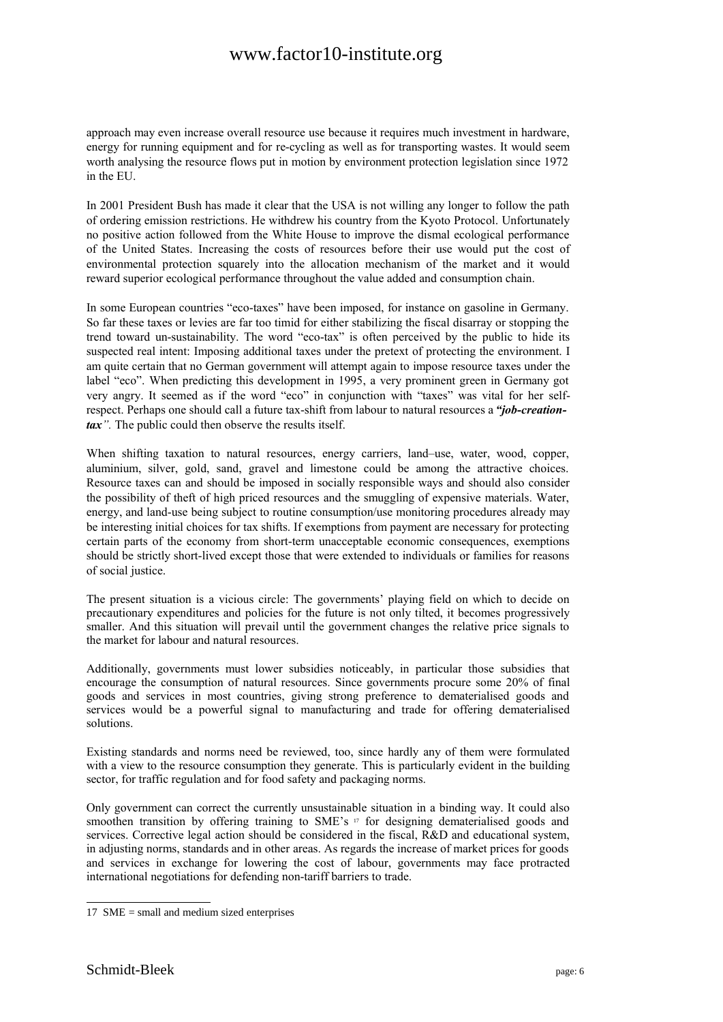approach may even increase overall resource use because it requires much investment in hardware, energy for running equipment and for re-cycling as well as for transporting wastes. It would seem worth analysing the resource flows put in motion by environment protection legislation since 1972 in the EU.

In 2001 President Bush has made it clear that the USA is not willing any longer to follow the path of ordering emission restrictions. He withdrew his country from the Kyoto Protocol. Unfortunately no positive action followed from the White House to improve the dismal ecological performance of the United States. Increasing the costs of resources before their use would put the cost of environmental protection squarely into the allocation mechanism of the market and it would reward superior ecological performance throughout the value added and consumption chain.

In some European countries "eco-taxes" have been imposed, for instance on gasoline in Germany. So far these taxes or levies are far too timid for either stabilizing the fiscal disarray or stopping the trend toward un-sustainability. The word "eco-tax" is often perceived by the public to hide its suspected real intent: Imposing additional taxes under the pretext of protecting the environment. I am quite certain that no German government will attempt again to impose resource taxes under the label "eco". When predicting this development in 1995, a very prominent green in Germany got very angry. It seemed as if the word "eco" in conjunction with "taxes" was vital for her selfrespect. Perhaps one should call a future tax-shift from labour to natural resources a *"job-creationtax".* The public could then observe the results itself.

When shifting taxation to natural resources, energy carriers, land–use, water, wood, copper, aluminium, silver, gold, sand, gravel and limestone could be among the attractive choices. Resource taxes can and should be imposed in socially responsible ways and should also consider the possibility of theft of high priced resources and the smuggling of expensive materials. Water, energy, and land-use being subject to routine consumption/use monitoring procedures already may be interesting initial choices for tax shifts. If exemptions from payment are necessary for protecting certain parts of the economy from short-term unacceptable economic consequences, exemptions should be strictly short-lived except those that were extended to individuals or families for reasons of social justice.

The present situation is a vicious circle: The governments' playing field on which to decide on precautionary expenditures and policies for the future is not only tilted, it becomes progressively smaller. And this situation will prevail until the government changes the relative price signals to the market for labour and natural resources.

Additionally, governments must lower subsidies noticeably, in particular those subsidies that encourage the consumption of natural resources. Since governments procure some 20% of final goods and services in most countries, giving strong preference to dematerialised goods and services would be a powerful signal to manufacturing and trade for offering dematerialised solutions.

Existing standards and norms need be reviewed, too, since hardly any of them were formulated with a view to the resource consumption they generate. This is particularly evident in the building sector, for traffic regulation and for food safety and packaging norms.

Only government can correct the currently unsustainable situation in a binding way. It could also smoothen transition by offering training to SME's  $\eta$  for designing dematerialised goods and services. Corrective legal action should be considered in the fiscal, R&D and educational system, in adjusting norms, standards and in other areas. As regards the increase of market prices for goods and services in exchange for lowering the cost of labour, governments may face protracted international negotiations for defending non-tariff barriers to trade.

<sup>17</sup> SME = small and medium sized enterprises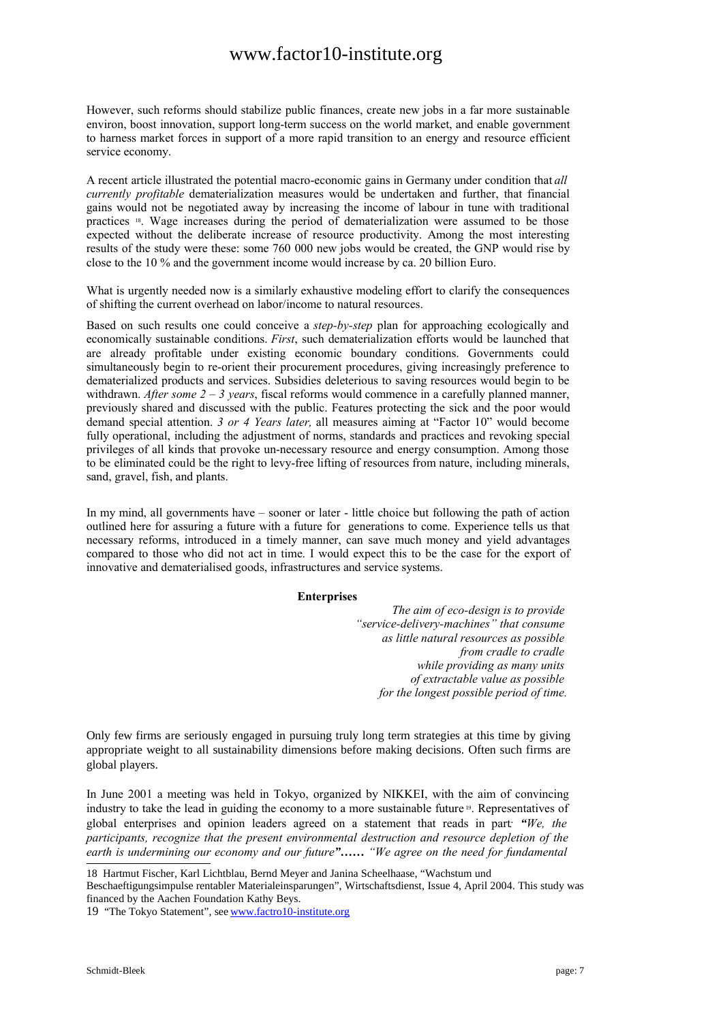However, such reforms should stabilize public finances, create new jobs in a far more sustainable environ, boost innovation, support long-term success on the world market, and enable government to harness market forces in support of a more rapid transition to an energy and resource efficient service economy.

A recent article illustrated the potential macro-economic gains in Germany under condition that *all currently profitable* dematerialization measures would be undertaken and further, that financial gains would not be negotiated away by increasing the income of labour in tune with traditional practices 18 . Wage increases during the period of dematerialization were assumed to be those expected without the deliberate increase of resource productivity. Among the most interesting results of the study were these: some 760 000 new jobs would be created, the GNP would rise by close to the 10 % and the government income would increase by ca. 20 billion Euro.

What is urgently needed now is a similarly exhaustive modeling effort to clarify the consequences of shifting the current overhead on labor/income to natural resources.

Based on such results one could conceive a *step-by-step* plan for approaching ecologically and economically sustainable conditions. *First*, such dematerialization efforts would be launched that are already profitable under existing economic boundary conditions. Governments could simultaneously begin to re-orient their procurement procedures, giving increasingly preference to dematerialized products and services. Subsidies deleterious to saving resources would begin to be withdrawn. *After some*  $2 - 3$  *years*, fiscal reforms would commence in a carefully planned manner, previously shared and discussed with the public. Features protecting the sick and the poor would demand special attention. *3 or 4 Years later,* all measures aiming at "Factor 10" would become fully operational, including the adjustment of norms, standards and practices and revoking special privileges of all kinds that provoke un-necessary resource and energy consumption. Among those to be eliminated could be the right to levy-free lifting of resources from nature, including minerals, sand, gravel, fish, and plants.

In my mind, all governments have – sooner or later - little choice but following the path of action outlined here for assuring a future with a future for generations to come. Experience tells us that necessary reforms, introduced in a timely manner, can save much money and yield advantages compared to those who did not act in time. I would expect this to be the case for the export of innovative and dematerialised goods, infrastructures and service systems.

### **Enterprises**

*The aim of eco-design is to provide "service-delivery-machines" that consume as little natural resources as possible from cradle to cradle while providing as many units of extractable value as possible for the longest possible period of time.*

Only few firms are seriously engaged in pursuing truly long term strategies at this time by giving appropriate weight to all sustainability dimensions before making decisions. Often such firms are global players.

In June 2001 a meeting was held in Tokyo, organized by NIKKEI, with the aim of convincing industry to take the lead in guiding the economy to a more sustainable future <sup>19</sup> . Representatives of global enterprises and opinion leaders agreed on a statement that reads in part*: "We, the participants, recognize that the present environmental destruction and resource depletion of the earth is undermining our economy and our future"…… "We agree on the need for fundamental*

18 Hartmut Fischer, Karl Lichtblau, Bernd Meyer and Janina Scheelhaase, "Wachstum und Beschaeftigungsimpulse rentabler Materialeinsparungen", Wirtschaftsdienst, Issue 4, April 2004. This study was financed by the Aachen Foundation Kathy Beys.

19 "The Tokyo Statement", see www.factro10-institute.org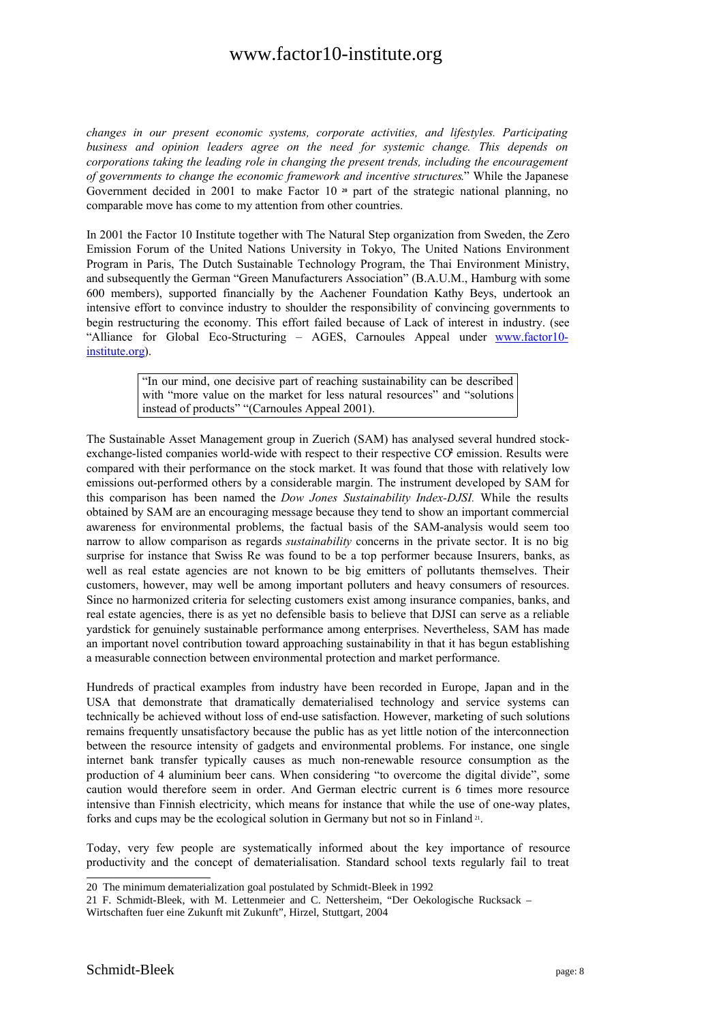*changes in our present economic systems, corporate activities, and lifestyles. Participating business and opinion leaders agree on the need for systemic change. This depends on corporations taking the leading role in changing the present trends, including the encouragement of governments to change the economic framework and incentive structures*." While the Japanese Government decided in 2001 to make Factor 10<sup>20</sup> part of the strategic national planning, no comparable move has come to my attention from other countries.

In 2001 the Factor 10 Institute together with The Natural Step organization from Sweden, the Zero Emission Forum of the United Nations University in Tokyo, The United Nations Environment Program in Paris, The Dutch Sustainable Technology Program, the Thai Environment Ministry, and subsequently the German "Green Manufacturers Association" (B.A.U.M., Hamburg with some 600 members), supported financially by the Aachener Foundation Kathy Beys, undertook an intensive effort to convince industry to shoulder the responsibility of convincing governments to begin restructuring the economy. This effort failed because of Lack of interest in industry. (see "Alliance for Global Eco-Structuring – AGES, Carnoules Appeal under www.factor10 institute.org).

> "In our mind, one decisive part of reaching sustainability can be described with "more value on the market for less natural resources" and "solutions" instead of products" "(Carnoules Appeal 2001).

The Sustainable Asset Management group in Zuerich (SAM) has analysed several hundred stockexchange-listed companies world-wide with respect to their respective CO<sup>2</sup> emission. Results were compared with their performance on the stock market. It was found that those with relatively low emissions out-performed others by a considerable margin. The instrument developed by SAM for this comparison has been named the *Dow Jones Sustainability Index-DJSI.* While the results obtained by SAM are an encouraging message because they tend to show an important commercial awareness for environmental problems, the factual basis of the SAM-analysis would seem too narrow to allow comparison as regards *sustainability* concerns in the private sector. It is no big surprise for instance that Swiss Re was found to be a top performer because Insurers, banks, as well as real estate agencies are not known to be big emitters of pollutants themselves. Their customers, however, may well be among important polluters and heavy consumers of resources. Since no harmonized criteria for selecting customers exist among insurance companies, banks, and real estate agencies, there is as yet no defensible basis to believe that DJSI can serve as a reliable yardstick for genuinely sustainable performance among enterprises. Nevertheless, SAM has made an important novel contribution toward approaching sustainability in that it has begun establishing a measurable connection between environmental protection and market performance.

Hundreds of practical examples from industry have been recorded in Europe, Japan and in the USA that demonstrate that dramatically dematerialised technology and service systems can technically be achieved without loss of end-use satisfaction. However, marketing of such solutions remains frequently unsatisfactory because the public has as yet little notion of the interconnection between the resource intensity of gadgets and environmental problems. For instance, one single internet bank transfer typically causes as much non-renewable resource consumption as the production of 4 aluminium beer cans. When considering "to overcome the digital divide", some caution would therefore seem in order. And German electric current is 6 times more resource intensive than Finnish electricity, which means for instance that while the use of one-way plates, forks and cups may be the ecological solution in Germany but not so in Finland <sup>21</sup> .

Today, very few people are systematically informed about the key importance of resource productivity and the concept of dematerialisation. Standard school texts regularly fail to treat

<sup>20</sup> The minimum dematerialization goal postulated by Schmidt-Bleek in 1992

<sup>21</sup> F. Schmidt-Bleek, with M. Lettenmeier and C. Nettersheim, "Der Oekologische Rucksack –

Wirtschaften fuer eine Zukunft mit Zukunft", Hirzel, Stuttgart, 2004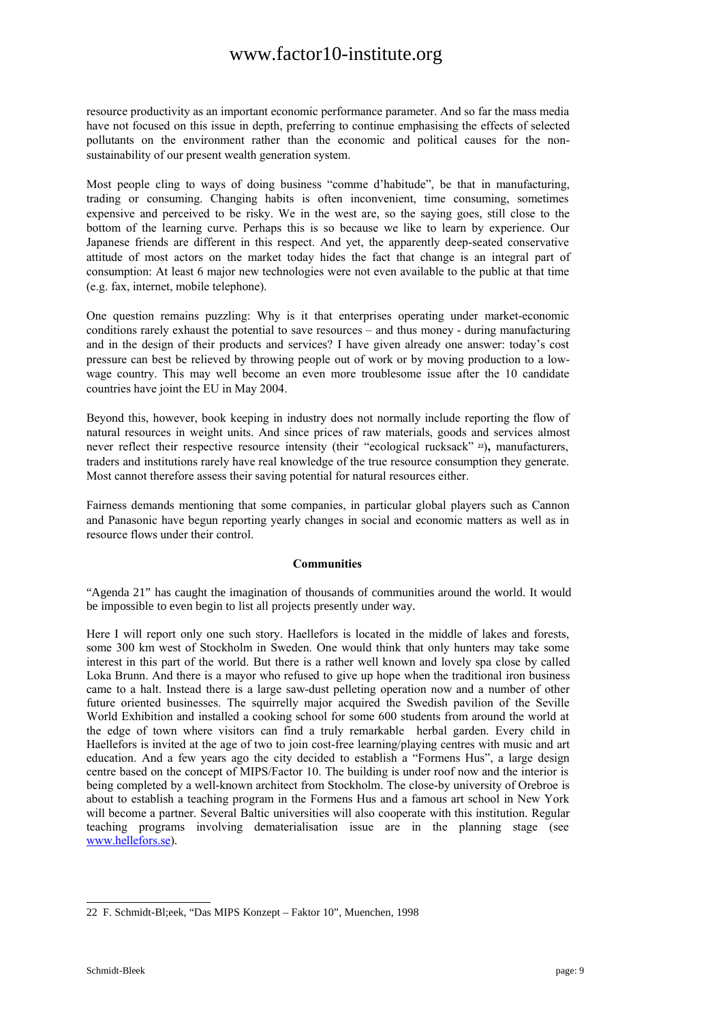resource productivity as an important economic performance parameter. And so far the mass media have not focused on this issue in depth, preferring to continue emphasising the effects of selected pollutants on the environment rather than the economic and political causes for the nonsustainability of our present wealth generation system.

Most people cling to ways of doing business "comme d'habitude", be that in manufacturing, trading or consuming. Changing habits is often inconvenient, time consuming, sometimes expensive and perceived to be risky. We in the west are, so the saying goes, still close to the bottom of the learning curve. Perhaps this is so because we like to learn by experience. Our Japanese friends are different in this respect. And yet, the apparently deep-seated conservative attitude of most actors on the market today hides the fact that change is an integral part of consumption: At least 6 major new technologies were not even available to the public at that time (e.g. fax, internet, mobile telephone).

One question remains puzzling: Why is it that enterprises operating under market-economic conditions rarely exhaust the potential to save resources – and thus money - during manufacturing and in the design of their products and services? I have given already one answer: today's cost pressure can best be relieved by throwing people out of work or by moving production to a lowwage country. This may well become an even more troublesome issue after the 10 candidate countries have joint the EU in May 2004.

Beyond this, however, book keeping in industry does not normally include reporting the flow of natural resources in weight units. And since prices of raw materials, goods and services almost never reflect their respective resource intensity (their "ecological rucksack" **<sup>22</sup>**)**,** manufacturers, traders and institutions rarely have real knowledge of the true resource consumption they generate. Most cannot therefore assess their saving potential for natural resources either.

Fairness demands mentioning that some companies, in particular global players such as Cannon and Panasonic have begun reporting yearly changes in social and economic matters as well as in resource flows under their control.

### **Communities**

"Agenda 21" has caught the imagination of thousands of communities around the world. It would be impossible to even begin to list all projects presently under way.

Here I will report only one such story. Haellefors is located in the middle of lakes and forests, some 300 km west of Stockholm in Sweden. One would think that only hunters may take some interest in this part of the world. But there is a rather well known and lovely spa close by called Loka Brunn. And there is a mayor who refused to give up hope when the traditional iron business came to a halt. Instead there is a large saw-dust pelleting operation now and a number of other future oriented businesses. The squirrelly major acquired the Swedish pavilion of the Seville World Exhibition and installed a cooking school for some 600 students from around the world at the edge of town where visitors can find a truly remarkable herbal garden. Every child in Haellefors is invited at the age of two to join cost-free learning/playing centres with music and art education. And a few years ago the city decided to establish a "Formens Hus", a large design centre based on the concept of MIPS/Factor 10. The building is under roof now and the interior is being completed by a well-known architect from Stockholm. The close-by university of Orebroe is about to establish a teaching program in the Formens Hus and a famous art school in New York will become a partner. Several Baltic universities will also cooperate with this institution. Regular teaching programs involving dematerialisation issue are in the planning stage (see www.hellefors.se).

<sup>22</sup> F. Schmidt-Bl;eek, "Das MIPS Konzept – Faktor 10", Muenchen, 1998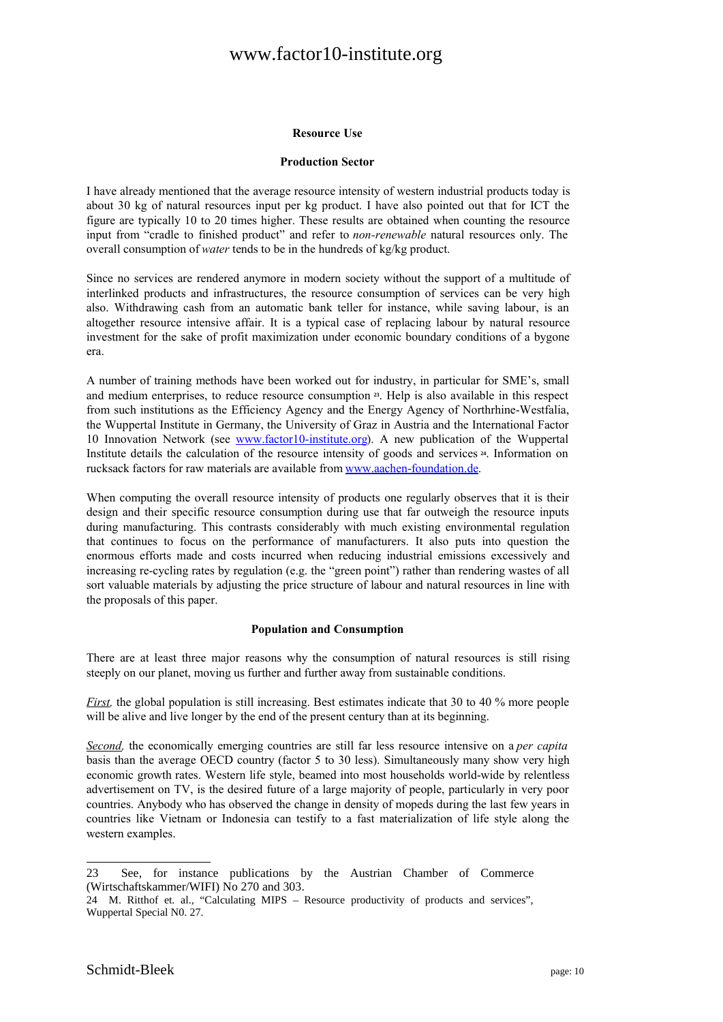#### **Resource Use**

#### **Production Sector**

I have already mentioned that the average resource intensity of western industrial products today is about 30 kg of natural resources input per kg product. I have also pointed out that for ICT the figure are typically 10 to 20 times higher. These results are obtained when counting the resource input from "cradle to finished product" and refer to *non-renewable* natural resources only. The overall consumption of *water* tends to be in the hundreds of kg/kg product.

Since no services are rendered anymore in modern society without the support of a multitude of interlinked products and infrastructures, the resource consumption of services can be very high also. Withdrawing cash from an automatic bank teller for instance, while saving labour, is an altogether resource intensive affair. It is a typical case of replacing labour by natural resource investment for the sake of profit maximization under economic boundary conditions of a bygone era.

A number of training methods have been worked out for industry, in particular for SME's, small and medium enterprises, to reduce resource consumption **<sup>23</sup>** . Help is also available in this respect from such institutions as the Efficiency Agency and the Energy Agency of Northrhine-Westfalia, the Wuppertal Institute in Germany, the University of Graz in Austria and the International Factor 10 Innovation Network (see www.factor10-institute.org). A new publication of the Wuppertal Institute details the calculation of the resource intensity of goods and services **<sup>24</sup>** . Information on rucksack factors for raw materials are available from www.aachen-foundation.de.

When computing the overall resource intensity of products one regularly observes that it is their design and their specific resource consumption during use that far outweigh the resource inputs during manufacturing. This contrasts considerably with much existing environmental regulation that continues to focus on the performance of manufacturers. It also puts into question the enormous efforts made and costs incurred when reducing industrial emissions excessively and increasing re-cycling rates by regulation (e.g. the "green point") rather than rendering wastes of all sort valuable materials by adjusting the price structure of labour and natural resources in line with the proposals of this paper.

#### **Population and Consumption**

There are at least three major reasons why the consumption of natural resources is still rising steeply on our planet, moving us further and further away from sustainable conditions.

*First*, the global population is still increasing. Best estimates indicate that 30 to 40 % more people will be alive and live longer by the end of the present century than at its beginning.

*Second,* the economically emerging countries are still far less resource intensive on a *per capita* basis than the average OECD country (factor 5 to 30 less). Simultaneously many show very high economic growth rates. Western life style, beamed into most households world-wide by relentless advertisement on TV, is the desired future of a large majority of people, particularly in very poor countries. Anybody who has observed the change in density of mopeds during the last few years in countries like Vietnam or Indonesia can testify to a fast materialization of life style along the western examples.

<sup>23</sup> See, for instance publications by the Austrian Chamber of Commerce (Wirtschaftskammer/WIFI) No 270 and 303.

<sup>24</sup> M. Ritthof et. al., "Calculating MIPS – Resource productivity of products and services", Wuppertal Special N0. 27.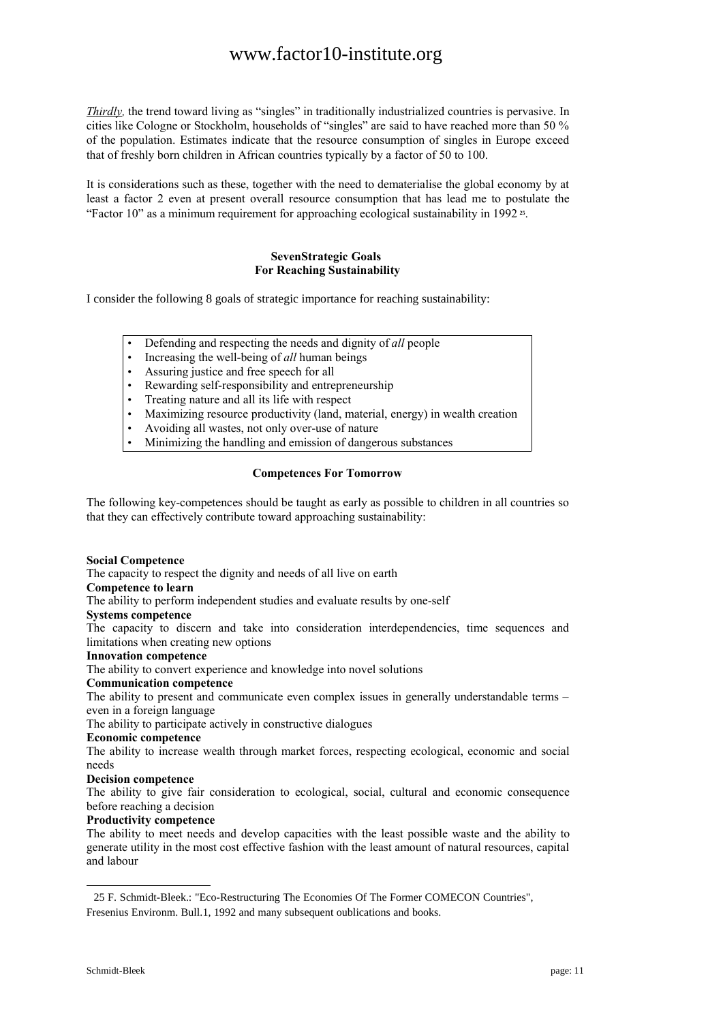*Thirdly,* the trend toward living as "singles" in traditionally industrialized countries is pervasive. In cities like Cologne or Stockholm, households of "singles" are said to have reached more than 50 % of the population. Estimates indicate that the resource consumption of singles in Europe exceed that of freshly born children in African countries typically by a factor of 50 to 100.

It is considerations such as these, together with the need to dematerialise the global economy by at least a factor 2 even at present overall resource consumption that has lead me to postulate the "Factor 10" as a minimum requirement for approaching ecological sustainability in 1992 **<sup>25</sup>** .

### **SevenStrategic Goals For Reaching Sustainability**

I consider the following 8 goals of strategic importance for reaching sustainability:

- Defending and respecting the needs and dignity of *all* people
- Increasing the well-being of *all* human beings
- Assuring justice and free speech for all
- Rewarding self-responsibility and entrepreneurship
- Treating nature and all its life with respect
- Maximizing resource productivity (land, material, energy) in wealth creation
- Avoiding all wastes, not only over-use of nature
- Minimizing the handling and emission of dangerous substances

### **Competences For Tomorrow**

The following key-competences should be taught as early as possible to children in all countries so that they can effectively contribute toward approaching sustainability:

#### **Social Competence**

The capacity to respect the dignity and needs of all live on earth

### **Competence to learn**

The ability to perform independent studies and evaluate results by one-self

### **Systems competence**

The capacity to discern and take into consideration interdependencies, time sequences and limitations when creating new options

#### **Innovation competence**

The ability to convert experience and knowledge into novel solutions

#### **Communication competence**

The ability to present and communicate even complex issues in generally understandable terms – even in a foreign language

The ability to participate actively in constructive dialogues

### **Economic competence**

The ability to increase wealth through market forces, respecting ecological, economic and social needs

#### **Decision competence**

The ability to give fair consideration to ecological, social, cultural and economic consequence before reaching a decision

#### **Productivity competence**

The ability to meet needs and develop capacities with the least possible waste and the ability to generate utility in the most cost effective fashion with the least amount of natural resources, capital and labour

<sup>25</sup> F. Schmidt-Bleek.: "Eco-Restructuring The Economies Of The Former COMECON Countries", Fresenius Environm. Bull.1, 1992 and many subsequent oublications and books.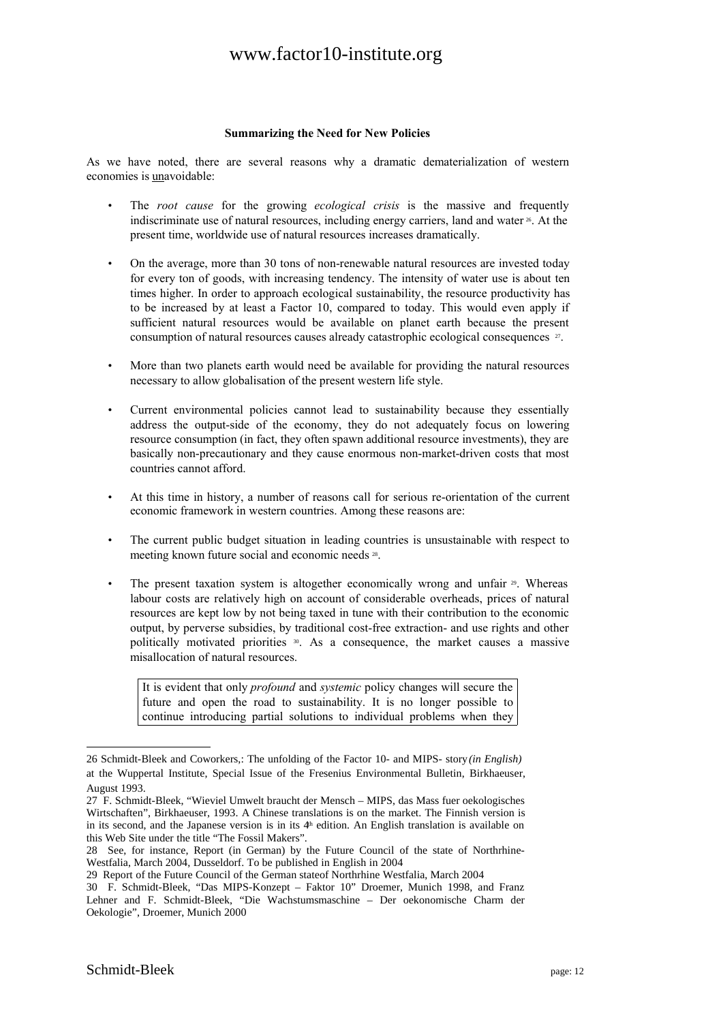#### **Summarizing the Need for New Policies**

As we have noted, there are several reasons why a dramatic dematerialization of western economies is unavoidable:

- The *root cause* for the growing *ecological crisis* is the massive and frequently indiscriminate use of natural resources, including energy carriers, land and water <sup>26</sup>. At the present time, worldwide use of natural resources increases dramatically.
- On the average, more than 30 tons of non-renewable natural resources are invested today for every ton of goods, with increasing tendency. The intensity of water use is about ten times higher. In order to approach ecological sustainability, the resource productivity has to be increased by at least a Factor 10, compared to today. This would even apply if sufficient natural resources would be available on planet earth because the present consumption of natural resources causes already catastrophic ecological consequences  $\mathbb{F}$ .
- More than two planets earth would need be available for providing the natural resources necessary to allow globalisation of the present western life style.
- Current environmental policies cannot lead to sustainability because they essentially address the output-side of the economy, they do not adequately focus on lowering resource consumption (in fact, they often spawn additional resource investments), they are basically non-precautionary and they cause enormous non-market-driven costs that most countries cannot afford.
- At this time in history, a number of reasons call for serious re-orientation of the current economic framework in western countries. Among these reasons are:
- The current public budget situation in leading countries is unsustainable with respect to meeting known future social and economic needs <sup>28</sup>.
- The present taxation system is altogether economically wrong and unfair  $\gg$ . Whereas labour costs are relatively high on account of considerable overheads, prices of natural resources are kept low by not being taxed in tune with their contribution to the economic output, by perverse subsidies, by traditional cost-free extraction- and use rights and other politically motivated priorities <sup>30</sup>. As a consequence, the market causes a massive misallocation of natural resources.

It is evident that only *profound* and *systemic* policy changes will secure the future and open the road to sustainability. It is no longer possible to continue introducing partial solutions to individual problems when they

<sup>26</sup> Schmidt-Bleek and Coworkers,: The unfolding of the Factor 10- and MIPS- story*(in English)* at the Wuppertal Institute, Special Issue of the Fresenius Environmental Bulletin, Birkhaeuser, August 1993.

<sup>27</sup> F. Schmidt-Bleek, "Wieviel Umwelt braucht der Mensch – MIPS, das Mass fuer oekologisches Wirtschaften", Birkhaeuser, 1993. A Chinese translations is on the market. The Finnish version is in its second, and the Japanese version is in its  $4<sup>th</sup>$  edition. An English translation is available on this Web Site under the title "The Fossil Makers".

<sup>28</sup> See, for instance, Report (in German) by the Future Council of the state of Northrhine-Westfalia, March 2004, Dusseldorf. To be published in English in 2004

<sup>29</sup> Report of the Future Council of the German stateof Northrhine Westfalia, March 2004

<sup>30</sup> F. Schmidt-Bleek, "Das MIPS-Konzept – Faktor 10" Droemer, Munich 1998, and Franz Lehner and F. Schmidt-Bleek, "Die Wachstumsmaschine – Der oekonomische Charm der Oekologie", Droemer, Munich 2000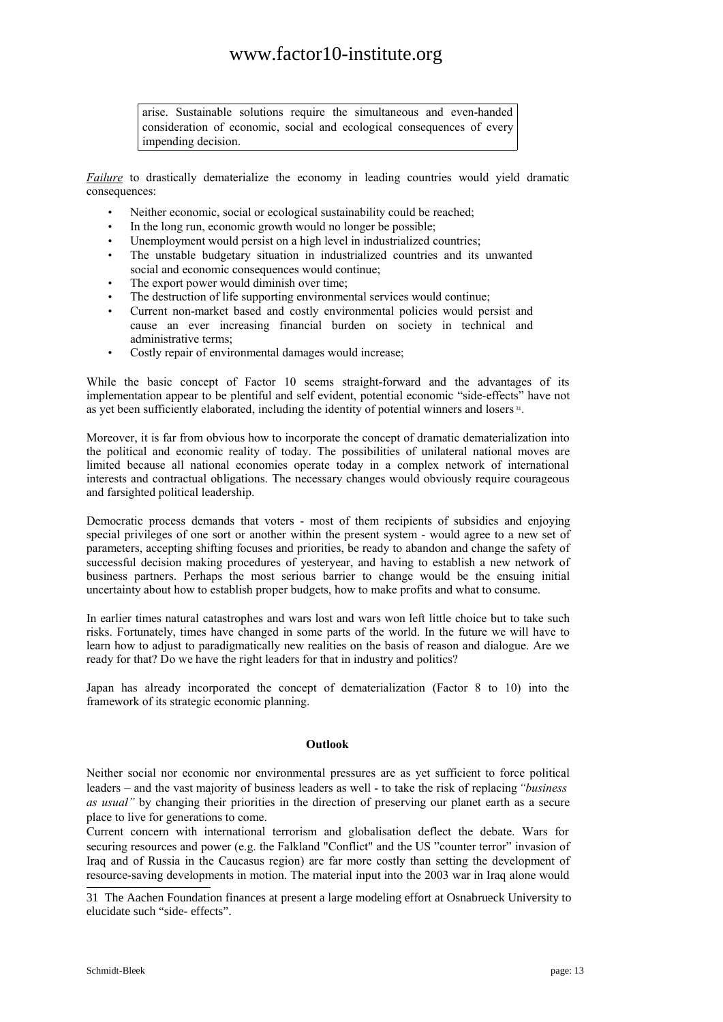arise. Sustainable solutions require the simultaneous and even-handed consideration of economic, social and ecological consequences of every impending decision.

*Failure* to drastically dematerialize the economy in leading countries would yield dramatic consequences:

- Neither economic, social or ecological sustainability could be reached;
- In the long run, economic growth would no longer be possible;
- Unemployment would persist on a high level in industrialized countries;
- The unstable budgetary situation in industrialized countries and its unwanted social and economic consequences would continue;
- The export power would diminish over time;
- The destruction of life supporting environmental services would continue;
- Current non-market based and costly environmental policies would persist and cause an ever increasing financial burden on society in technical and administrative terms;
- Costly repair of environmental damages would increase;

While the basic concept of Factor 10 seems straight-forward and the advantages of its implementation appear to be plentiful and self evident, potential economic "side-effects" have not as yet been sufficiently elaborated, including the identity of potential winners and losers<sup>31</sup>.

Moreover, it is far from obvious how to incorporate the concept of dramatic dematerialization into the political and economic reality of today. The possibilities of unilateral national moves are limited because all national economies operate today in a complex network of international interests and contractual obligations. The necessary changes would obviously require courageous and farsighted political leadership.

Democratic process demands that voters - most of them recipients of subsidies and enjoying special privileges of one sort or another within the present system - would agree to a new set of parameters, accepting shifting focuses and priorities, be ready to abandon and change the safety of successful decision making procedures of yesteryear, and having to establish a new network of business partners. Perhaps the most serious barrier to change would be the ensuing initial uncertainty about how to establish proper budgets, how to make profits and what to consume.

In earlier times natural catastrophes and wars lost and wars won left little choice but to take such risks. Fortunately, times have changed in some parts of the world. In the future we will have to learn how to adjust to paradigmatically new realities on the basis of reason and dialogue. Are we ready for that? Do we have the right leaders for that in industry and politics?

Japan has already incorporated the concept of dematerialization (Factor 8 to 10) into the framework of its strategic economic planning.

### **Outlook**

Neither social nor economic nor environmental pressures are as yet sufficient to force political leaders – and the vast majority of business leaders as well - to take the risk of replacing*"business as usual"* by changing their priorities in the direction of preserving our planet earth as a secure place to live for generations to come.

Current concern with international terrorism and globalisation deflect the debate. Wars for securing resources and power (e.g. the Falkland "Conflict" and the US "counter terror" invasion of Iraq and of Russia in the Caucasus region) are far more costly than setting the development of resource-saving developments in motion. The material input into the 2003 war in Iraq alone would

<sup>31</sup> The Aachen Foundation finances at present a large modeling effort at Osnabrueck University to elucidate such "side- effects".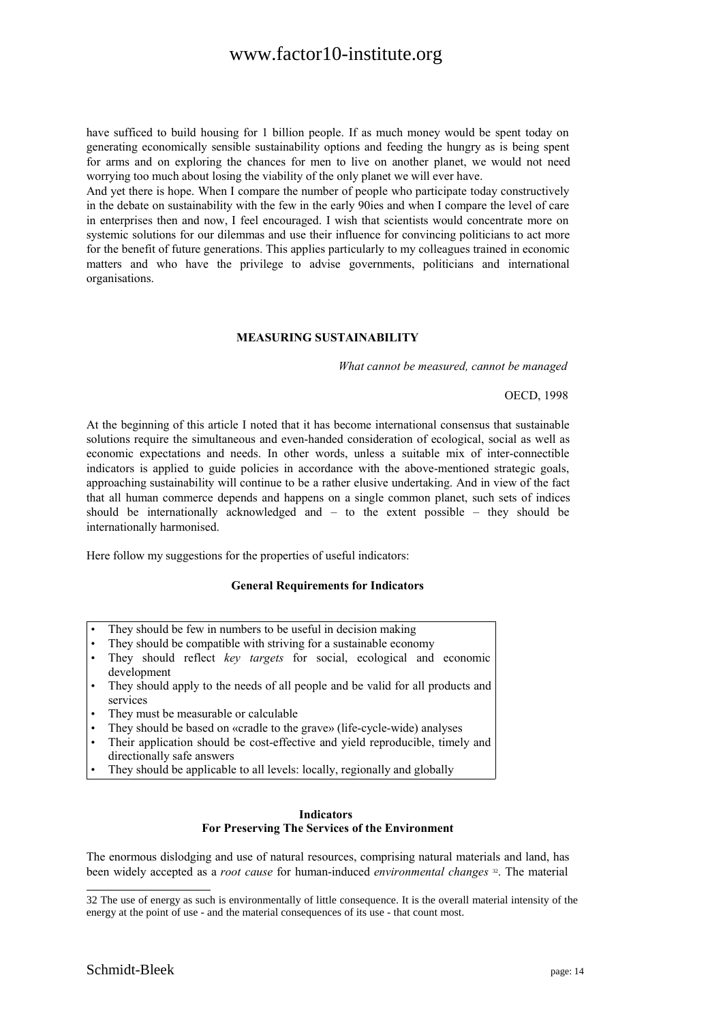have sufficed to build housing for 1 billion people. If as much money would be spent today on generating economically sensible sustainability options and feeding the hungry as is being spent for arms and on exploring the chances for men to live on another planet, we would not need worrying too much about losing the viability of the only planet we will ever have.

And yet there is hope. When I compare the number of people who participate today constructively in the debate on sustainability with the few in the early 90ies and when I compare the level of care in enterprises then and now, I feel encouraged. I wish that scientists would concentrate more on systemic solutions for our dilemmas and use their influence for convincing politicians to act more for the benefit of future generations. This applies particularly to my colleagues trained in economic matters and who have the privilege to advise governments, politicians and international organisations.

### **MEASURING SUSTAINABILITY**

*What cannot be measured, cannot be managed*

OECD, 1998

At the beginning of this article I noted that it has become international consensus that sustainable solutions require the simultaneous and even-handed consideration of ecological, social as well as economic expectations and needs. In other words, unless a suitable mix of inter-connectible indicators is applied to guide policies in accordance with the above-mentioned strategic goals, approaching sustainability will continue to be a rather elusive undertaking. And in view of the fact that all human commerce depends and happens on a single common planet, such sets of indices should be internationally acknowledged and – to the extent possible – they should be internationally harmonised.

Here follow my suggestions for the properties of useful indicators:

#### **General Requirements for Indicators**

- They should be few in numbers to be useful in decision making
- They should be compatible with striving for a sustainable economy
- They should reflect *key targets* for social, ecological and economic development
- They should apply to the needs of all people and be valid for all products and services
- They must be measurable or calculable
- They should be based on «cradle to the grave» (life-cycle-wide) analyses
- Their application should be cost-effective and yield reproducible, timely and directionally safe answers
- They should be applicable to all levels: locally, regionally and globally

#### **Indicators For Preserving The Services of the Environment**

The enormous dislodging and use of natural resources, comprising natural materials and land, has been widely accepted as a *root cause* for human-induced *environmental changes* 32 . The material

<sup>32</sup> The use of energy as such is environmentally of little consequence. It is the overall material intensity of the energy at the point of use - and the material consequences of its use - that count most.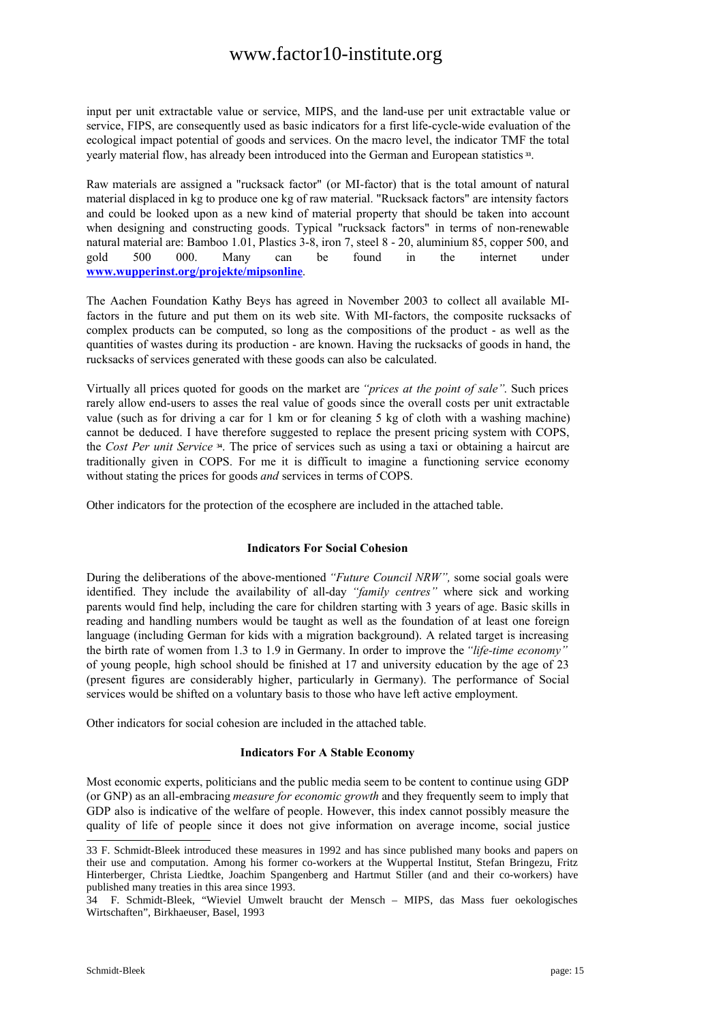input per unit extractable value or service, MIPS, and the land-use per unit extractable value or service, FIPS, are consequently used as basic indicators for a first life-cycle-wide evaluation of the ecological impact potential of goods and services. On the macro level, the indicator TMF the total yearly material flow, has already been introduced into the German and European statistics **<sup>33</sup>** .

Raw materials are assigned a "rucksack factor" (or MI-factor) that is the total amount of natural material displaced in kg to produce one kg of raw material. "Rucksack factors" are intensity factors and could be looked upon as a new kind of material property that should be taken into account when designing and constructing goods. Typical "rucksack factors" in terms of non-renewable natural material are: Bamboo 1.01, Plastics 3-8, iron 7, steel 8 - 20, aluminium 85, copper 500, and gold 500 000. Many can be found in the internet under **www.wupperinst.org/projekte/mipsonline**.

The Aachen Foundation Kathy Beys has agreed in November 2003 to collect all available MIfactors in the future and put them on its web site. With MI-factors, the composite rucksacks of complex products can be computed, so long as the compositions of the product - as well as the quantities of wastes during its production - are known. Having the rucksacks of goods in hand, the rucksacks of services generated with these goods can also be calculated.

Virtually all prices quoted for goods on the market are *"prices at the point of sale"*. Such prices rarely allow end-users to asses the real value of goods since the overall costs per unit extractable value (such as for driving a car for 1 km or for cleaning 5 kg of cloth with a washing machine) cannot be deduced. I have therefore suggested to replace the present pricing system with COPS, the *Cost Per unit Service* **<sup>34</sup>** . The price of services such as using a taxi or obtaining a haircut are traditionally given in COPS. For me it is difficult to imagine a functioning service economy without stating the prices for goods *and* services in terms of COPS.

Other indicators for the protection of the ecosphere are included in the attached table.

### **Indicators For Social Cohesion**

During the deliberations of the above-mentioned *"Future Council NRW",* some social goals were identified. They include the availability of all-day *"family centres"* where sick and working parents would find help, including the care for children starting with 3 years of age. Basic skills in reading and handling numbers would be taught as well as the foundation of at least one foreign language (including German for kids with a migration background). A related target is increasing the birth rate of women from 1.3 to 1.9 in Germany. In order to improve the*"life-time economy"* of young people, high school should be finished at 17 and university education by the age of 23 (present figures are considerably higher, particularly in Germany). The performance of Social services would be shifted on a voluntary basis to those who have left active employment.

Other indicators for social cohesion are included in the attached table.

#### **Indicators For A Stable Economy**

Most economic experts, politicians and the public media seem to be content to continue using GDP (or GNP) as an all-embracing *measure for economic growth* and they frequently seem to imply that GDP also is indicative of the welfare of people. However, this index cannot possibly measure the quality of life of people since it does not give information on average income, social justice

<sup>33</sup> F. Schmidt-Bleek introduced these measures in 1992 and has since published many books and papers on their use and computation. Among his former co-workers at the Wuppertal Institut, Stefan Bringezu, Fritz Hinterberger, Christa Liedtke, Joachim Spangenberg and Hartmut Stiller (and and their co-workers) have published many treaties in this area since 1993.

<sup>34</sup> F. Schmidt-Bleek, "Wieviel Umwelt braucht der Mensch – MIPS, das Mass fuer oekologisches Wirtschaften", Birkhaeuser, Basel, 1993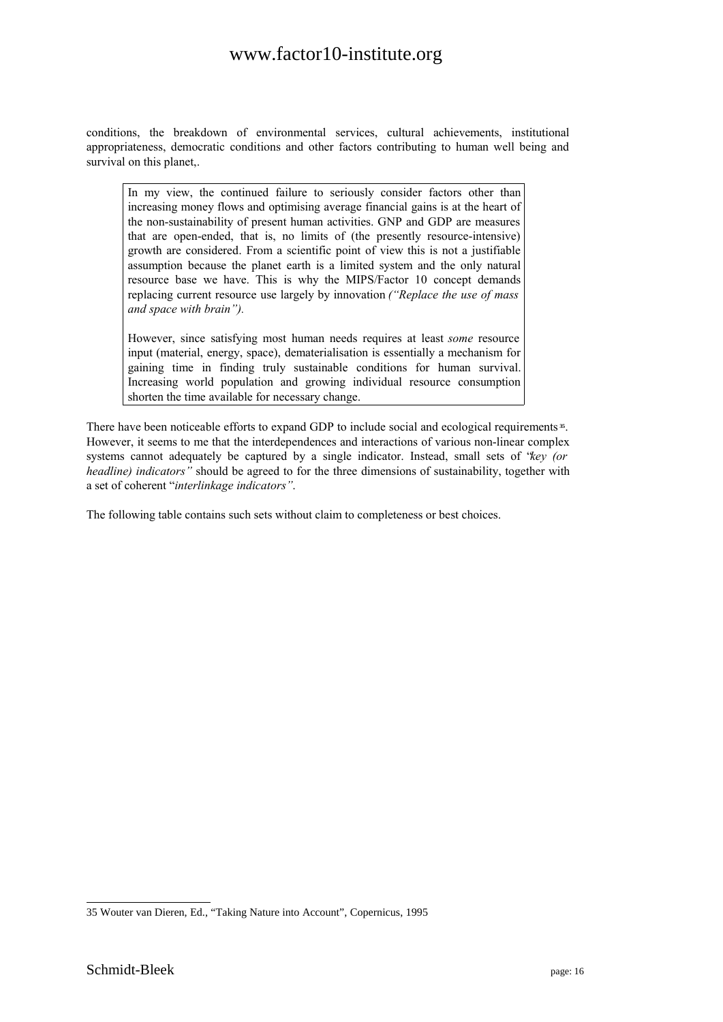conditions, the breakdown of environmental services, cultural achievements, institutional appropriateness, democratic conditions and other factors contributing to human well being and survival on this planet,.

In my view, the continued failure to seriously consider factors other than increasing money flows and optimising average financial gains is at the heart of the non-sustainability of present human activities. GNP and GDP are measures that are open-ended, that is, no limits of (the presently resource-intensive) growth are considered. From a scientific point of view this is not a justifiable assumption because the planet earth is a limited system and the only natural resource base we have. This is why the MIPS/Factor 10 concept demands replacing current resource use largely by innovation *("Replace the use of mass and space with brain").*

However, since satisfying most human needs requires at least *some* resource input (material, energy, space), dematerialisation is essentially a mechanism for gaining time in finding truly sustainable conditions for human survival. Increasing world population and growing individual resource consumption shorten the time available for necessary change.

There have been noticeable efforts to expand GDP to include social and ecological requirements<sup>35</sup>. However, it seems to me that the interdependences and interactions of various non-linear complex systems cannot adequately be captured by a single indicator. Instead, small sets of "*key (or headline) indicators"* should be agreed to for the three dimensions of sustainability, together with a set of coherent "*interlinkage indicators"*.

The following table contains such sets without claim to completeness or best choices.

<sup>35</sup> Wouter van Dieren, Ed., "Taking Nature into Account", Copernicus, 1995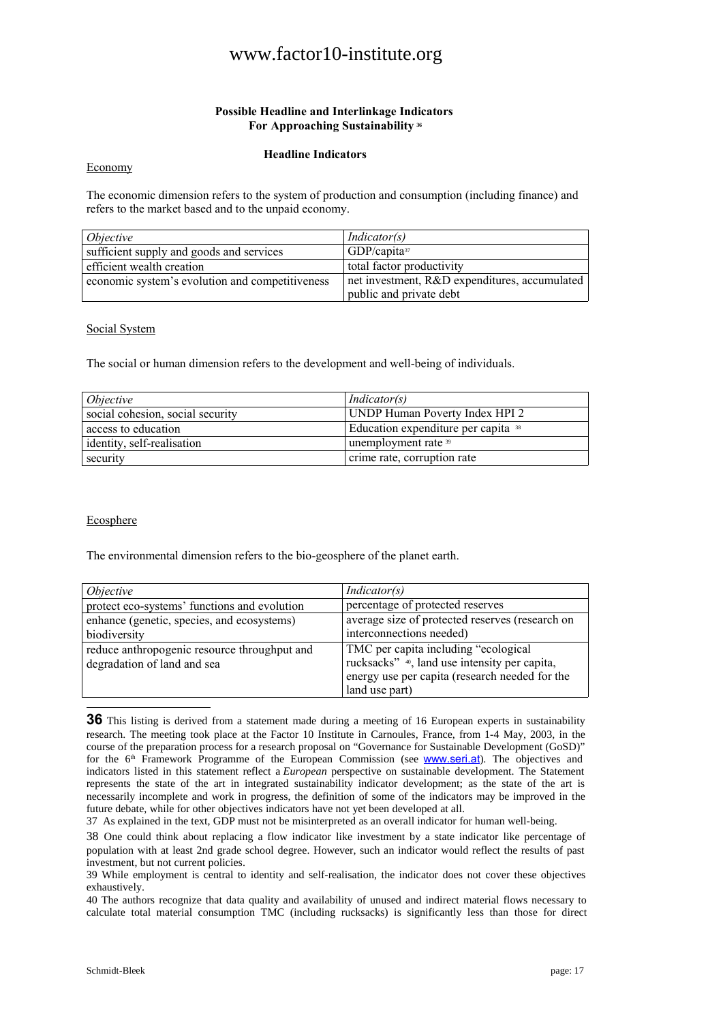### **Possible Headline and Interlinkage Indicators For Approaching Sustainability <sup>36</sup>**

### **Headline Indicators**

#### Economy

The economic dimension refers to the system of production and consumption (including finance) and refers to the market based and to the unpaid economy.

| <i>Objective</i>                                | <i>Indicator(s)</i>                           |
|-------------------------------------------------|-----------------------------------------------|
| sufficient supply and goods and services        | $GDP/c$ apita <sup>37</sup>                   |
| efficient wealth creation                       | total factor productivity                     |
| economic system's evolution and competitiveness | net investment, R&D expenditures, accumulated |
|                                                 | public and private debt                       |

#### Social System

The social or human dimension refers to the development and well-being of individuals.

| Objective                        | <i>Indicator(s)</i>                            |
|----------------------------------|------------------------------------------------|
| social cohesion, social security | UNDP Human Poverty Index HPI 2                 |
| access to education              | Education expenditure per capita <sup>38</sup> |
| identity, self-realisation       | unemployment rate 39                           |
| security                         | crime rate, corruption rate                    |

### **Ecosphere**

The environmental dimension refers to the bio-geosphere of the planet earth.

| <i>Objective</i>                             | Indication(s)                                             |
|----------------------------------------------|-----------------------------------------------------------|
| protect eco-systems' functions and evolution | percentage of protected reserves                          |
| enhance (genetic, species, and ecosystems)   | average size of protected reserves (research on           |
| biodiversity                                 | interconnections needed)                                  |
| reduce anthropogenic resource throughput and | TMC per capita including "ecological"                     |
| degradation of land and sea                  | rucksacks" <sup>40</sup> , land use intensity per capita, |
|                                              | energy use per capita (research needed for the            |
|                                              | land use part)                                            |

**36** This listing is derived from a statement made during a meeting of 16 European experts in sustainability research. The meeting took place at the Factor 10 Institute in Carnoules, France, from 1-4 May, 2003, in the course of the preparation process for a research proposal on "Governance for Sustainable Development (GoSD)" for the 6<sup>th</sup> Framework Programme of the European Commission (see **WWW.seri.at**). The objectives and indicators listed in this statement reflect a *European* perspective on sustainable development. The Statement represents the state of the art in integrated sustainability indicator development; as the state of the art is necessarily incomplete and work in progress, the definition of some of the indicators may be improved in the future debate, while for other objectives indicators have not yet been developed at all.

37 As explained in the text, GDP must not be misinterpreted as an overall indicator for human well-being.

39 While employment is central to identity and self-realisation, the indicator does not cover these objectives exhaustively.

40 The authors recognize that data quality and availability of unused and indirect material flows necessary to calculate total material consumption TMC (including rucksacks) is significantly less than those for direct

<sup>38</sup> One could think about replacing a flow indicator like investment by a state indicator like percentage of population with at least 2nd grade school degree. However, such an indicator would reflect the results of past investment, but not current policies.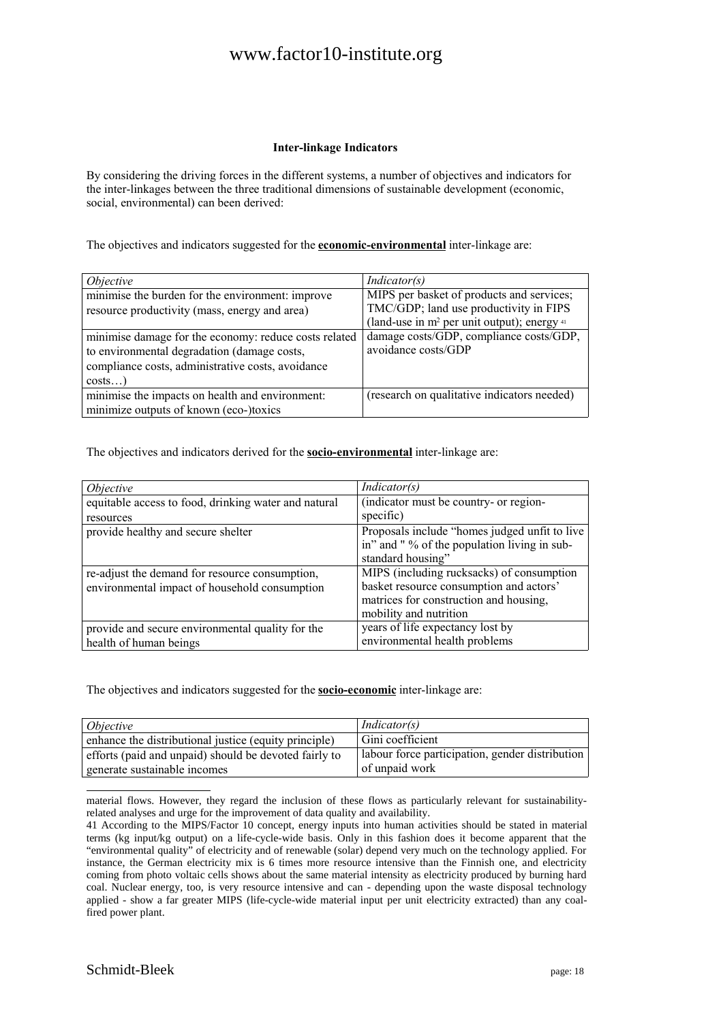### **Inter-linkage Indicators**

By considering the driving forces in the different systems, a number of objectives and indicators for the inter-linkages between the three traditional dimensions of sustainable development (economic, social, environmental) can been derived:

The objectives and indicators suggested for the **economic-environmental** inter-linkage are:

| <i>Objective</i>                                      | <i>Indicator(s)</i>                                                                 |
|-------------------------------------------------------|-------------------------------------------------------------------------------------|
| minimise the burden for the environment: improve      | MIPS per basket of products and services;<br>TMC/GDP; land use productivity in FIPS |
| resource productivity (mass, energy and area)         | (land-use in $m^2$ per unit output); energy $41$                                    |
| minimise damage for the economy: reduce costs related | damage costs/GDP, compliance costs/GDP,                                             |
| to environmental degradation (damage costs,           | avoidance costs/GDP                                                                 |
| compliance costs, administrative costs, avoidance     |                                                                                     |
| costs                                                 |                                                                                     |
| minimise the impacts on health and environment:       | (research on qualitative indicators needed)                                         |
| minimize outputs of known (eco-)toxics                |                                                                                     |

The objectives and indicators derived for the **socio-environmental** inter-linkage are:

| <i>Objective</i>                                     | Indicator(s)                                   |
|------------------------------------------------------|------------------------------------------------|
| equitable access to food, drinking water and natural | (indicator must be country- or region-         |
| resources                                            | specific)                                      |
| provide healthy and secure shelter                   | Proposals include "homes judged unfit to live" |
|                                                      | in" and "% of the population living in sub-    |
|                                                      | standard housing"                              |
| re-adjust the demand for resource consumption,       | MIPS (including rucksacks) of consumption      |
| environmental impact of household consumption        | basket resource consumption and actors'        |
|                                                      | matrices for construction and housing,         |
|                                                      | mobility and nutrition                         |
| provide and secure environmental quality for the     | years of life expectancy lost by               |
| health of human beings                               | environmental health problems                  |

The objectives and indicators suggested for the **socio-economic** inter-linkage are:

| <i>Objective</i>                                      | <i>Indicator(s)</i>                             |
|-------------------------------------------------------|-------------------------------------------------|
| enhance the distributional justice (equity principle) | Gini coefficient                                |
| efforts (paid and unpaid) should be devoted fairly to | labour force participation, gender distribution |
| generate sustainable incomes                          | of unpaid work                                  |

material flows. However, they regard the inclusion of these flows as particularly relevant for sustainabilityrelated analyses and urge for the improvement of data quality and availability.

<sup>41</sup> According to the MIPS/Factor 10 concept, energy inputs into human activities should be stated in material terms (kg input/kg output) on a life-cycle-wide basis. Only in this fashion does it become apparent that the "environmental quality" of electricity and of renewable (solar) depend very much on the technology applied. For instance, the German electricity mix is 6 times more resource intensive than the Finnish one, and electricity coming from photo voltaic cells shows about the same material intensity as electricity produced by burning hard coal. Nuclear energy, too, is very resource intensive and can - depending upon the waste disposal technology applied - show a far greater MIPS (life-cycle-wide material input per unit electricity extracted) than any coalfired power plant.